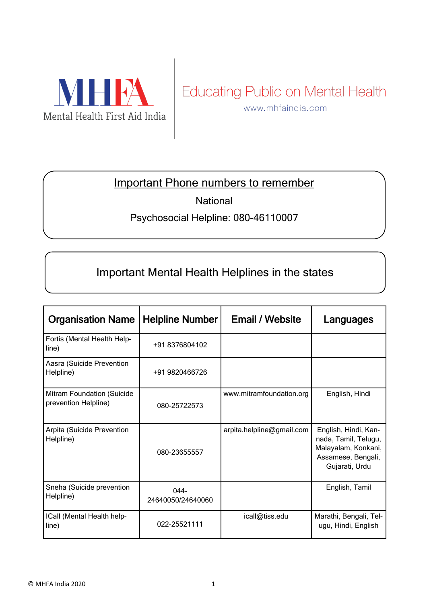

## Educating Public on Mental Health

www.mhfaindia.com

#### Important Phone numbers to remember

**National** 

#### Psychosocial Helpline: 080-46110007

### Important Mental Health Helplines in the states

| <b>Organisation Name</b>                           | <b>Helpline Number</b>       | <b>Email / Website</b>    | Languages                                                                                                   |
|----------------------------------------------------|------------------------------|---------------------------|-------------------------------------------------------------------------------------------------------------|
| Fortis (Mental Health Help-<br>line)               | +91 8376804102               |                           |                                                                                                             |
| Aasra (Suicide Prevention<br>Helpline)             | +91 9820466726               |                           |                                                                                                             |
| Mitram Foundation (Suicide<br>prevention Helpline) | 080-25722573                 | www.mitramfoundation.org  | English, Hindi                                                                                              |
| Arpita (Suicide Prevention<br>Helpline)            | 080-23655557                 | arpita.helpline@gmail.com | English, Hindi, Kan-<br>nada, Tamil, Telugu,<br>Malayalam, Konkani,<br>Assamese, Bengali,<br>Gujarati, Urdu |
| Sneha (Suicide prevention<br>Helpline)             | $044 -$<br>24640050/24640060 |                           | English, Tamil                                                                                              |
| ICall (Mental Health help-<br>line)                | 022-25521111                 | icall@tiss.edu            | Marathi, Bengali, Tel-<br>ugu, Hindi, English                                                               |